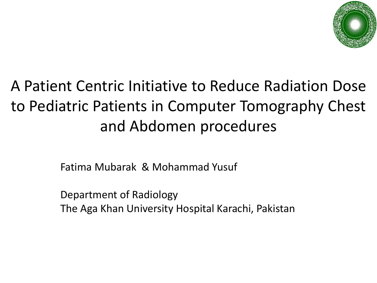

### A Patient Centric Initiative to Reduce Radiation Dose to Pediatric Patients in Computer Tomography Chest and Abdomen procedures

Fatima Mubarak & Mohammad Yusuf

Department of Radiology The Aga Khan University Hospital Karachi, Pakistan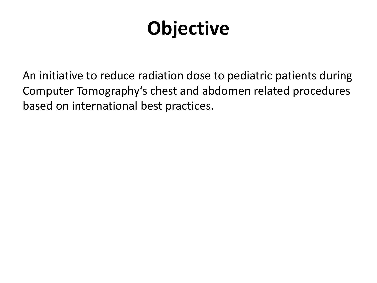# **Objective**

An initiative to reduce radiation dose to pediatric patients during Computer Tomography's chest and abdomen related procedures based on international best practices.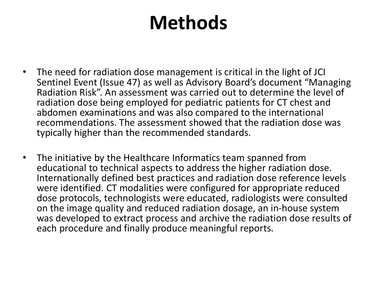## **Methods**

- The need for radiation dose management is critical in the light of JCI Sentinel Event (Issue 47) as well as Advisory Board's document "Managing Radiation Risk". An assessment was carried out to determine the level of radiation dose being employed for pediatric patients for CT chest and abdomen examinations and was also compared to the international recommendations. The assessment showed that the radiation dose was typically higher than the recommended standards.
- The initiative by the Healthcare Informatics team spanned from educational to technical aspects to address the higher radiation dose. Internationally defined best practices and radiation dose reference levels were identified. CT modalities were configured for appropriate reduced dose protocols, technologists were educated, radiologists were consulted on the image quality and reduced radiation dosage, an in-house system was developed to extract process and archive the radiation dose results of each procedure and finally produce meaningful reports.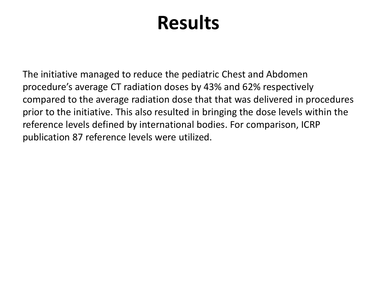## **Results**

The initiative managed to reduce the pediatric Chest and Abdomen procedure's average CT radiation doses by 43% and 62% respectively compared to the average radiation dose that that was delivered in procedures prior to the initiative. This also resulted in bringing the dose levels within the reference levels defined by international bodies. For comparison, ICRP publication 87 reference levels were utilized.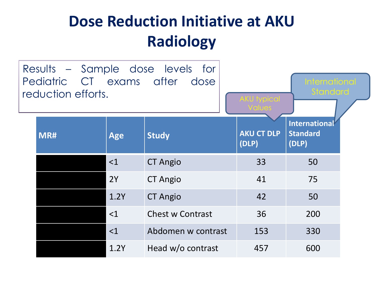### **Dose Reduction Initiative at AKU Radiology**

| Pediatric CT exams after<br>reduction efforts. |            | Results – Sample dose levels for<br>dose | <b>International</b><br><b>Standard</b><br><b>AKU</b> typical |                                                  |  |  |  |  |
|------------------------------------------------|------------|------------------------------------------|---------------------------------------------------------------|--------------------------------------------------|--|--|--|--|
| MR#                                            | <b>Age</b> | <b>Study</b>                             | <b>AKU CT DLP</b><br>(DLP)                                    | <b>International</b><br><b>Standard</b><br>(DLP) |  |  |  |  |
|                                                | <1         | <b>CT Angio</b>                          | 33                                                            | 50                                               |  |  |  |  |
|                                                | 2Y         | <b>CT Angio</b>                          | 41                                                            | 75                                               |  |  |  |  |
|                                                | 1.2Y       | <b>CT Angio</b>                          | 42                                                            | 50                                               |  |  |  |  |
|                                                | $<$ 1      | <b>Chest w Contrast</b>                  | 36                                                            | 200                                              |  |  |  |  |
|                                                | $<$ 1      | Abdomen w contrast                       | 153                                                           | 330                                              |  |  |  |  |
|                                                | 1.2Y       | Head w/o contrast                        | 457                                                           | 600                                              |  |  |  |  |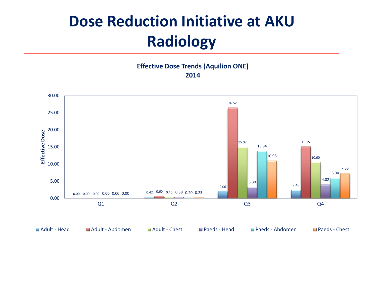### **Dose Reduction Initiative at AKU Radiology**

#### **Effective Dose Trends (Aquilion ONE) 2014**

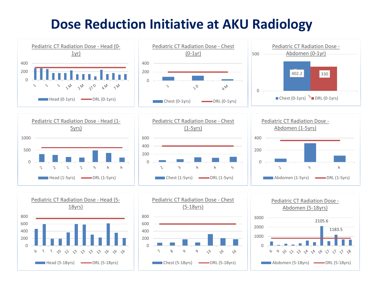### **Dose Reduction Initiative at AKU Radiology**

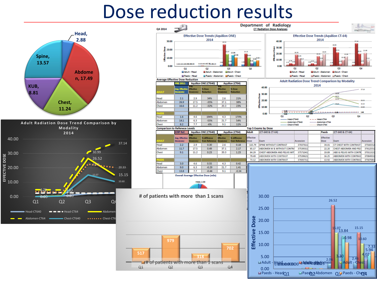## Dose reduction results



 $0.000$   $0.42$ 

0.00

**EFFECTIVE DOSE**

0.000 0.60

 $4.79 - 4.63$ 

3.50 **3.02 3.02 4.02** 

2.37 2.06 2.46 2.80 2.35 2.60

Q1 Q2 Q3 Q4

ead-CT640  $\bullet$   $\bullet$  Head-CT64  $\bullet$  Abdomen Abdomen-CT64 **Chest-CT640** Chest-CT640 **Chest-CT6**  15.15

**517**

10.60

20.33

37.14

|     | Q4 2014                                                                                           |                                                                                                                  |                                             |                               |                               |                                               |                          | Department of Radiology<br><b>CT Radiation Dose Analyses</b>                                            |                                                                 |                      |                    |                          |                                                                      |                                      |  |
|-----|---------------------------------------------------------------------------------------------------|------------------------------------------------------------------------------------------------------------------|---------------------------------------------|-------------------------------|-------------------------------|-----------------------------------------------|--------------------------|---------------------------------------------------------------------------------------------------------|-----------------------------------------------------------------|----------------------|--------------------|--------------------------|----------------------------------------------------------------------|--------------------------------------|--|
|     |                                                                                                   |                                                                                                                  | <b>Effective Dose Trends (Aquilion ONE)</b> |                               |                               | <b>Effective Dose Trends (Aquilion CT-64)</b> |                          |                                                                                                         |                                                                 |                      |                    |                          |                                                                      |                                      |  |
|     | 30.00                                                                                             | 2014                                                                                                             |                                             |                               |                               |                                               | 2014<br>40.00            |                                                                                                         |                                                                 |                      |                    | 17.14                    |                                                                      |                                      |  |
|     | 820.00<br>$\frac{1}{2}$ 10.00                                                                     |                                                                                                                  |                                             |                               | i an                          | 15.15<br>13.84                                |                          | 30.99<br>30.00<br>Dose<br>151<br>0.11<br>19.65<br>18.36<br>å<br>20.00<br>10/17<br>$\frac{25}{30}$ 10.00 |                                                                 |                      |                    |                          | 21.68                                                                |                                      |  |
|     | 0.00                                                                                              | 0.420.600.400.380.200.23<br>0.000.000.000.000.00                                                                 |                                             |                               |                               |                                               |                          |                                                                                                         | $2.37^{4.73}$ 3.50<br>2.6                                       |                      |                    |                          |                                                                      |                                      |  |
|     | 01<br>02<br>Q3<br><b>El Adult - Head</b>                                                          |                                                                                                                  |                                             |                               |                               | Q4                                            |                          | 0.00<br>04<br>01<br>02<br>O3<br>Hadult - Head<br>Adult - Abdomen                                        |                                                                 |                      |                    |                          |                                                                      |                                      |  |
|     |                                                                                                   | Adult - Abdomen<br><b>MAdult - Chest</b><br><b>El Paeds - Head</b><br><b>El Paeds - Abdomen El Paeds - Chest</b> |                                             |                               |                               |                                               |                          |                                                                                                         |                                                                 | <b>EPaeds - Head</b> |                    |                          | Adult - Chest<br>MPaeds - Abdomen MPaeds - Chest                     |                                      |  |
|     | <b>Average Effective Dose Reduction</b>                                                           | <b>LE 2011</b>                                                                                                   |                                             | <b>Aquilion ONE (CT640)</b>   |                               | <b>Aquilion (CT64)</b>                        |                          |                                                                                                         |                                                                 |                      |                    |                          | <b>Adult Radiation Dose Trend Comparison by Modality</b>             |                                      |  |
|     |                                                                                                   |                                                                                                                  | <b>Effective</b>                            | % Dose                        | <b>Effective</b>              | % Dose                                        |                          | 40.00                                                                                                   |                                                                 |                      | 2014               |                          | $- - - 37.14$                                                        |                                      |  |
|     | <b>DULT</b>                                                                                       |                                                                                                                  |                                             | <b>Reduction</b>              | <b>DosefmSv)</b>              | <b>Reduction</b>                              |                          | 30.00<br>ş                                                                                              |                                                                 |                      |                    |                          |                                                                      |                                      |  |
|     | Head                                                                                              | 2.1                                                                                                              | 2.9                                         | 34%                           | 2.6                           | 21%                                           |                          | å                                                                                                       |                                                                 |                      |                    |                          | 26.57<br>23.51                                                       |                                      |  |
|     | Abdomen                                                                                           | 26.9                                                                                                             | 17.5                                        | $-35%$                        | 37.1                          | 38%                                           |                          | $\frac{1}{6}$ 20.00                                                                                     |                                                                 |                      |                    |                          | 15.15                                                                |                                      |  |
|     | Chest                                                                                             | 16.6                                                                                                             | 11.2                                        | $-32%$                        | 20.3                          | 23%                                           |                          | $\frac{2}{30}$ 10.00                                                                                    |                                                                 |                      |                    |                          |                                                                      |                                      |  |
|     | AED                                                                                               |                                                                                                                  |                                             |                               |                               |                                               |                          | 0.00                                                                                                    | <b>START STATE</b><br>Q1                                        |                      |                    |                          | Q4                                                                   | 2.60                                 |  |
|     | Head<br>Abdomen                                                                                   | 1.6<br>14.1                                                                                                      | 4.6<br>6.3                                  | 194%<br>-55%                  | 4.3<br>21.7                   | 170%<br>54%                                   |                          |                                                                                                         | lead-CT640                                                      | Q <sub>2</sub>       |                    | Head-CT64                | Q3                                                                   |                                      |  |
|     | Chest                                                                                             | 8.2                                                                                                              | 7.7                                         | $-6%$                         | 9.1                           | 11%                                           |                          |                                                                                                         | Chest-CT640                                                     | Abdomen CT640        | ----- Abdomen CT64 | Chest-CT64               |                                                                      |                                      |  |
|     | <b>Comparison to Refenece Levels</b>                                                              |                                                                                                                  |                                             |                               |                               |                                               |                          | <b>Top 5 Exams by Dose</b>                                                                              |                                                                 |                      |                    |                          |                                                                      |                                      |  |
|     |                                                                                                   | <b>ICRP Ref.</b>                                                                                                 |                                             | <b>Aquilion ONE (CT640)</b>   |                               | <b>Aquilion (CT64)</b>                        | <b>Adult</b>             | (CT-640 & CT-64)                                                                                        |                                                                 |                      |                    | Paeds                    | (CT-640 & CT-64)                                                     |                                      |  |
|     | <b>DULT</b>                                                                                       | Avg. Effective<br><b>Dose(mSv)</b>                                                                               | <b>Effective</b>                            | % diffirence<br>from Referenc | <b>Effective</b><br>Dose(mSv) | % diffirence<br>from Reference                | <b>Effective</b><br>Dose | Exam                                                                                                    |                                                                 | Accession            |                    | <b>Effective</b><br>Dose | Exam                                                                 | Accession                            |  |
|     | Head                                                                                              | 2.2                                                                                                              | 2.9                                         | 0.30                          | 2.6                           | 0.18                                          | 115.79                   |                                                                                                         | SPINE WITHOUT CONTRAST                                          | 37037611             |                    | 34.01                    | CT CHEST WITH CONTRAST                                               | 37566552                             |  |
|     | Abdomen                                                                                           | 11.7                                                                                                             | 17.5                                        | 0.49                          | 37.1                          | 2.17                                          | 85.17                    |                                                                                                         | <b>ABDOMEN W &amp; WITHOUT CONTRA</b>                           | 37539311             |                    | 22.20                    | <b>CHEST ABDOMEN AND PELY</b>                                        | 37612551                             |  |
|     | Chest                                                                                             | 9.1                                                                                                              | 11.2                                        | 0.23                          | 20.3                          | 1.23                                          | 84.29<br>79.49           | CHEST ABDOMEN AND PELVIS WIT<br><b>ABDOMEN WITH CONTRAST</b>                                            |                                                                 | 37571041<br>37539621 |                    | 19.89<br>16.25           | ABD & PELVIS WITH CONTR<br><b>ABDOMEN WITH CONTRAS</b>               | 37011321<br>37084931                 |  |
|     |                                                                                                   |                                                                                                                  |                                             |                               |                               |                                               | 73.12                    |                                                                                                         | <b>ABDOMEN WITH CONTRAST</b>                                    | 37693711             |                    | 13.92                    | <b>ABDOMEN WITH CONTRAS</b>                                          | 37587081                             |  |
|     | Head                                                                                              | 3.0                                                                                                              | 4.6                                         | 0.55                          | 4.3                           | 0.42                                          |                          |                                                                                                         |                                                                 |                      |                    |                          |                                                                      |                                      |  |
|     | Abdomen<br><b>Chest</b>                                                                           | 9.0<br>13.8                                                                                                      | 6.3<br>7.7                                  | $-0.29$<br>$-0.44$            | 21.7<br>9.1                   | 1.41<br>$-0.34$                               |                          |                                                                                                         |                                                                 |                      |                    |                          |                                                                      |                                      |  |
|     | <b>Overall Average Effective Dose (mSv)</b><br>Head, 2.88<br># of patients with more than 1 scans |                                                                                                                  |                                             |                               |                               |                                               |                          |                                                                                                         |                                                                 |                      |                    |                          |                                                                      |                                      |  |
|     |                                                                                                   |                                                                                                                  |                                             |                               |                               |                                               |                          | 30.00                                                                                                   |                                                                 |                      |                    |                          | 26.52                                                                |                                      |  |
|     |                                                                                                   |                                                                                                                  |                                             |                               |                               |                                               |                          | 25.00                                                                                                   |                                                                 |                      |                    |                          |                                                                      |                                      |  |
|     |                                                                                                   |                                                                                                                  |                                             |                               |                               |                                               |                          | 20.00                                                                                                   |                                                                 |                      |                    |                          | 15.07 13.84<br>15.15                                                 |                                      |  |
| 517 | 979                                                                                               |                                                                                                                  |                                             |                               |                               | 702                                           | Effective Dose           | 15.00<br>10.00<br>5.00                                                                                  |                                                                 |                      |                    |                          | 10.98<br>$3 - 30$                                                    | 10.60<br>$\frac{7.33}{5.94}$<br>4.02 |  |
| Q1  | 14# of patients with more than 1 scans<br>Q <sub>2</sub><br>Q <sub>3</sub><br>Q4                  |                                                                                                                  |                                             |                               |                               |                                               |                          | 0.00                                                                                                    | LAdult-Hedocococoo-Adottoebodenen<br>Paeds - Head <sub>01</sub> |                      |                    | 2.06                     | 2.46<br><b>Li Adult - Ches</b><br>La Paed32 Abdomen Q3 Paeds - Che34 |                                      |  |
|     |                                                                                                   |                                                                                                                  |                                             |                               |                               |                                               |                          |                                                                                                         |                                                                 |                      |                    |                          |                                                                      |                                      |  |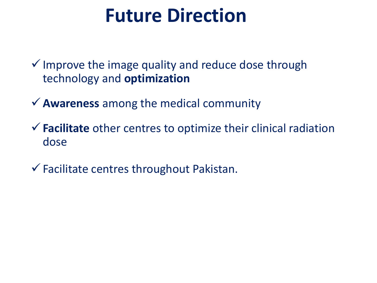## **Future Direction**

 $\checkmark$  Improve the image quality and reduce dose through technology and **optimization**

**Awareness** among the medical community

**Facilitate** other centres to optimize their clinical radiation dose

 $\checkmark$  Facilitate centres throughout Pakistan.